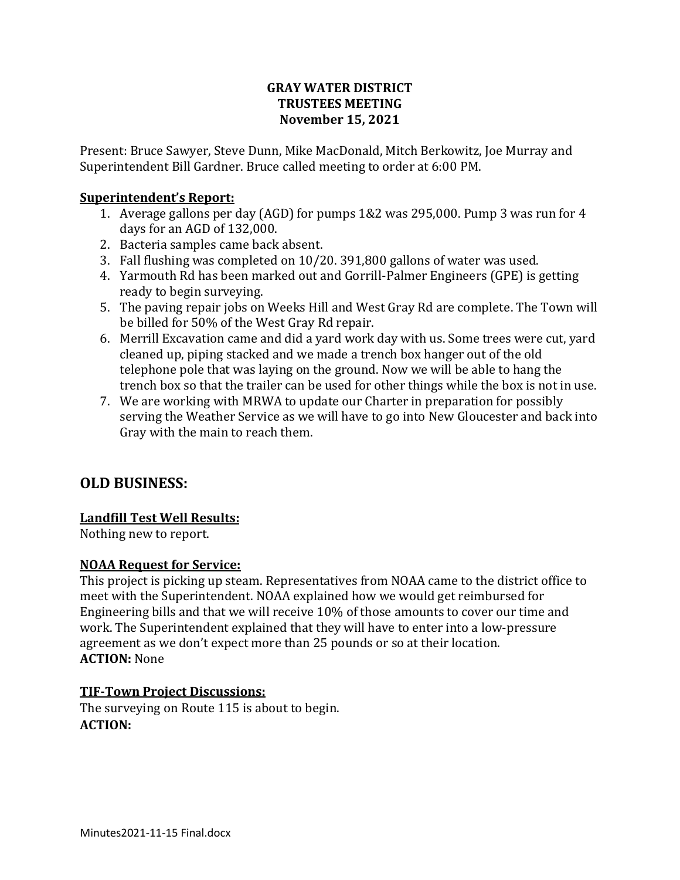## **GRAY WATER DISTRICT TRUSTEES MEETING November 15, 2021**

Present: Bruce Sawyer, Steve Dunn, Mike MacDonald, Mitch Berkowitz, Joe Murray and Superintendent Bill Gardner. Bruce called meeting to order at 6:00 PM.

# **Superintendent's Report:**

- 1. Average gallons per day (AGD) for pumps 1&2 was 295,000. Pump 3 was run for 4 days for an AGD of 132,000.
- 2. Bacteria samples came back absent.
- 3. Fall flushing was completed on 10/20. 391,800 gallons of water was used.
- 4. Yarmouth Rd has been marked out and Gorrill-Palmer Engineers (GPE) is getting ready to begin surveying.
- 5. The paving repair jobs on Weeks Hill and West Gray Rd are complete. The Town will be billed for 50% of the West Gray Rd repair.
- 6. Merrill Excavation came and did a yard work day with us. Some trees were cut, yard cleaned up, piping stacked and we made a trench box hanger out of the old telephone pole that was laying on the ground. Now we will be able to hang the trench box so that the trailer can be used for other things while the box is not in use.
- 7. We are working with MRWA to update our Charter in preparation for possibly serving the Weather Service as we will have to go into New Gloucester and back into Gray with the main to reach them.

# **OLD BUSINESS:**

#### **Landfill Test Well Results:**

Nothing new to report.

#### **NOAA Request for Service:**

This project is picking up steam. Representatives from NOAA came to the district office to meet with the Superintendent. NOAA explained how we would get reimbursed for Engineering bills and that we will receive 10% of those amounts to cover our time and work. The Superintendent explained that they will have to enter into a low-pressure agreement as we don't expect more than 25 pounds or so at their location. **ACTION:** None

#### **TIF-Town Project Discussions:**

The surveying on Route 115 is about to begin. **ACTION:**